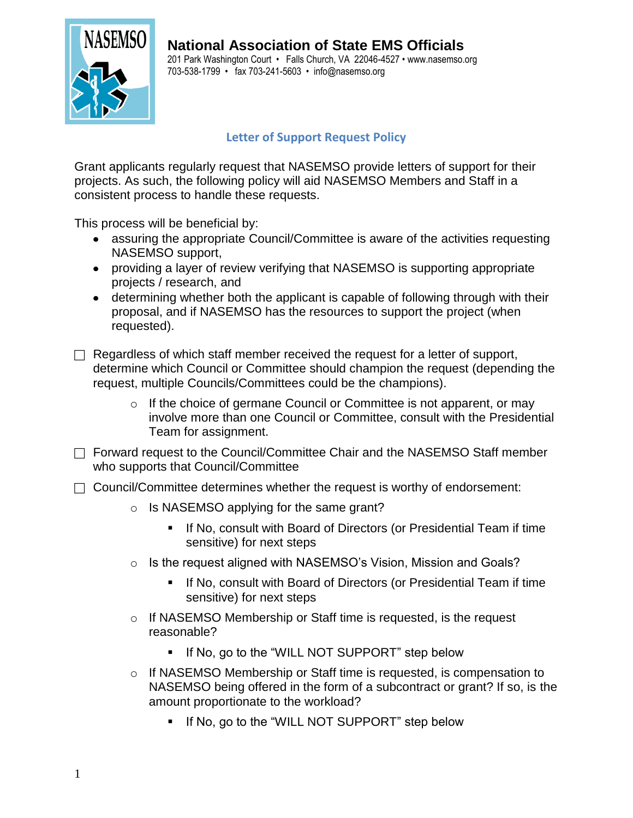



201 Park Washington Court • Falls Church, VA 22046-4527 • www.nasemso.org 703-538-1799 • fax 703-241-5603 • info@nasemso.org

## **Letter of Support Request Policy**

Grant applicants regularly request that NASEMSO provide letters of support for their projects. As such, the following policy will aid NASEMSO Members and Staff in a consistent process to handle these requests.

This process will be beneficial by:

- assuring the appropriate Council/Committee is aware of the activities requesting NASEMSO support,
- providing a layer of review verifying that NASEMSO is supporting appropriate projects / research, and
- determining whether both the applicant is capable of following through with their proposal, and if NASEMSO has the resources to support the project (when requested).

 $\Box$  Regardless of which staff member received the request for a letter of support, determine which Council or Committee should champion the request (depending the request, multiple Councils/Committees could be the champions).

- o If the choice of germane Council or Committee is not apparent, or may involve more than one Council or Committee, consult with the Presidential Team for assignment.
- $\Box$  Forward request to the Council/Committee Chair and the NASEMSO Staff member who supports that Council/Committee
- $\Box$  Council/Committee determines whether the request is worthy of endorsement:
	- o Is NASEMSO applying for the same grant?
		- **If No, consult with Board of Directors (or Presidential Team if time** sensitive) for next steps
	- o Is the request aligned with NASEMSO's Vision, Mission and Goals?
		- If No, consult with Board of Directors (or Presidential Team if time sensitive) for next steps
	- o If NASEMSO Membership or Staff time is requested, is the request reasonable?
		- **If No, go to the "WILL NOT SUPPORT" step below**
	- $\circ$  If NASEMSO Membership or Staff time is requested, is compensation to NASEMSO being offered in the form of a subcontract or grant? If so, is the amount proportionate to the workload?
		- **If No, go to the "WILL NOT SUPPORT" step below**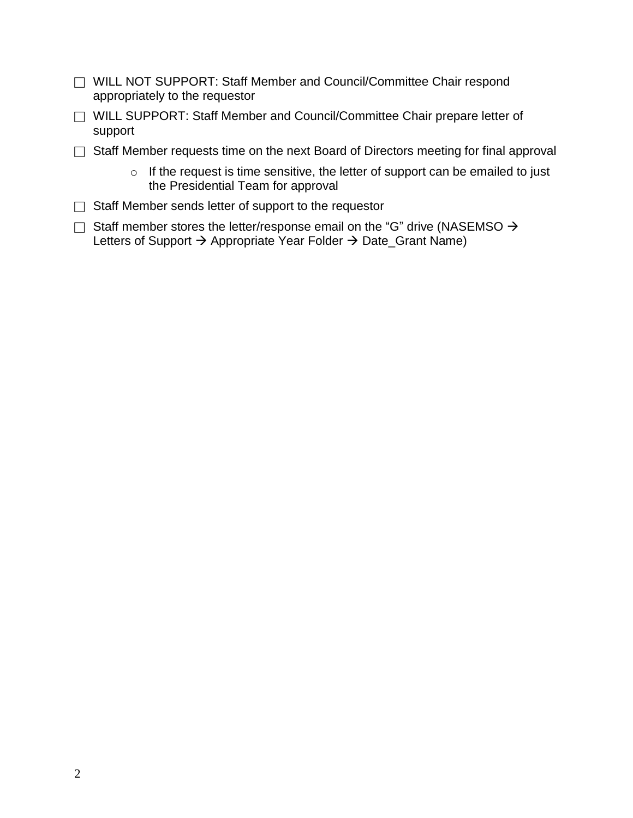- □ WILL NOT SUPPORT: Staff Member and Council/Committee Chair respond appropriately to the requestor
- □ WILL SUPPORT: Staff Member and Council/Committee Chair prepare letter of support
- □ Staff Member requests time on the next Board of Directors meeting for final approval
	- $\circ$  If the request is time sensitive, the letter of support can be emailed to just the Presidential Team for approval
- $\Box$  Staff Member sends letter of support to the requestor
- $\Box$  Staff member stores the letter/response email on the "G" drive (NASEMSO  $\rightarrow$ Letters of Support  $\rightarrow$  Appropriate Year Folder  $\rightarrow$  Date\_Grant Name)